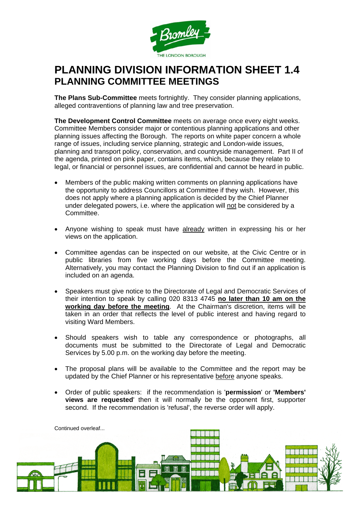

## **PLANNING DIVISION INFORMATION SHEET 1.4 PLANNING COMMITTEE MEETINGS**

**The Plans Sub-Committee** meets fortnightly. They consider planning applications, alleged contraventions of planning law and tree preservation.

**The Development Control Committee** meets on average once every eight weeks. Committee Members consider major or contentious planning applications and other planning issues affecting the Borough. The reports on white paper concern a whole range of issues, including service planning, strategic and London-wide issues, planning and transport policy, conservation, and countryside management. Part II of the agenda, printed on pink paper, contains items, which, because they relate to legal, or financial or personnel issues, are confidential and cannot be heard in public.

- Members of the public making written comments on planning applications have the opportunity to address Councillors at Committee if they wish. However, this does not apply where a planning application is decided by the Chief Planner under delegated powers, i.e. where the application will not be considered by a **Committee.**
- Anyone wishing to speak must have already written in expressing his or her views on the application.
- Committee agendas can be inspected on our website, at the Civic Centre or in public libraries from five working days before the Committee meeting. Alternatively, you may contact the Planning Division to find out if an application is included on an agenda.
- Speakers must give notice to the Directorate of Legal and Democratic Services of their intention to speak by calling 020 8313 4745 **no later than 10 am on the working day before the meeting**. At the Chairman's discretion, items will be taken in an order that reflects the level of public interest and having regard to visiting Ward Members.
- Should speakers wish to table any correspondence or photographs, all documents must be submitted to the Directorate of Legal and Democratic Services by 5.00 p.m. on the working day before the meeting.
- The proposal plans will be available to the Committee and the report may be updated by the Chief Planner or his representative before anyone speaks.
- • Order of public speakers: if the recommendation is '**permission**' or **'Members' views are requested**' then it will normally be the opponent first, supporter second. If the recommendation is 'refusal', the reverse order will apply.



Continued overleaf...